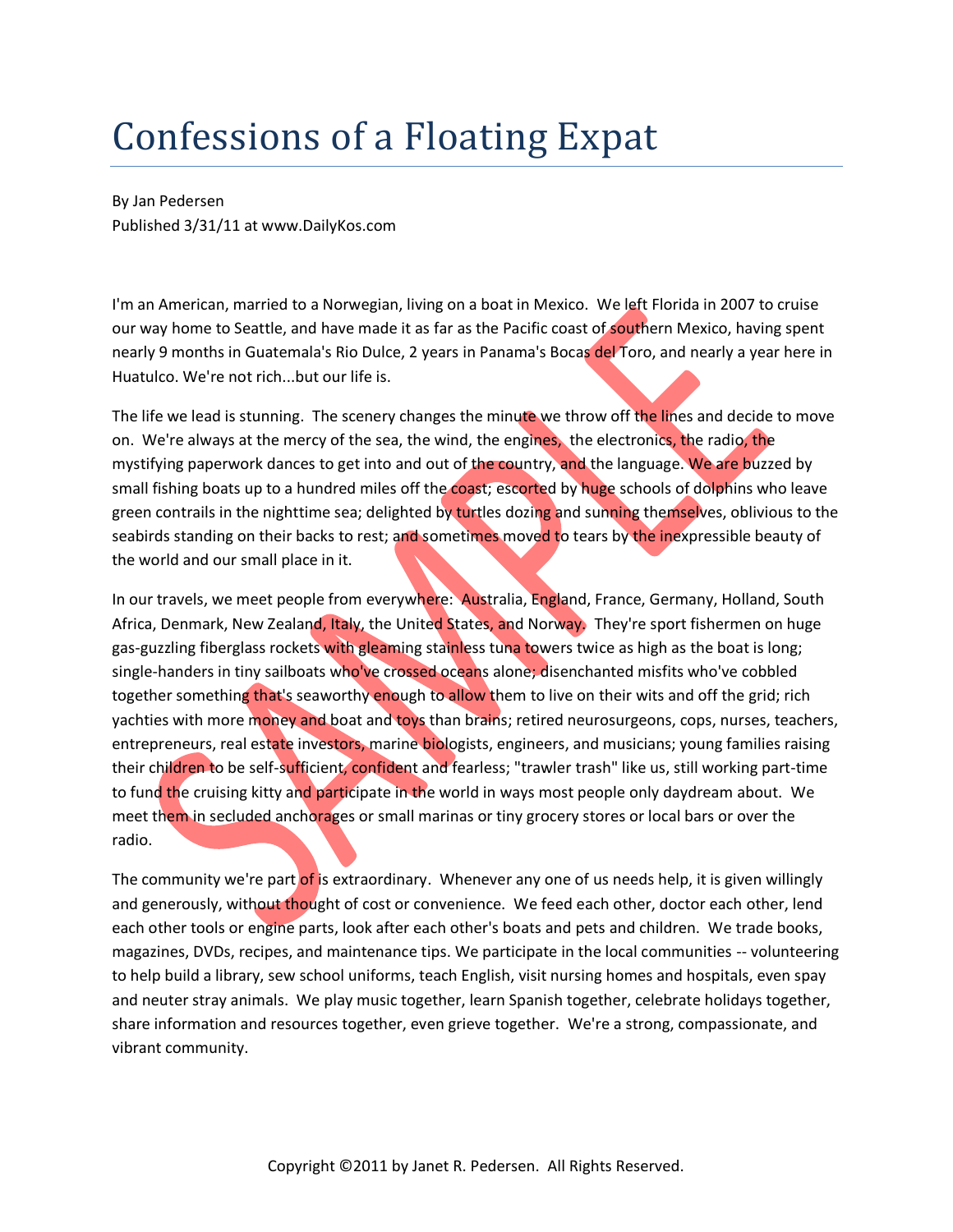## Confessions of a Floating Expat

By Jan Pedersen Published 3/31/11 at www.DailyKos.com

I'm an American, married to a Norwegian, living on a boat in Mexico. We left Florida in 2007 to cruise our way home to Seattle, and have made it as far as the Pacific coast of southern Mexico, having spent nearly 9 months in Guatemala's Rio Dulce, 2 years in Panama's Bocas del Toro, and nearly a year here in Huatulco. We're not rich...but our life is.

The life we lead is stunning. The scenery changes the minute we throw off the lines and decide to move on. We're always at the mercy of the sea, the wind, the engines, the electronics, the radio, the mystifying paperwork dances to get into and out of the country, and the language. We are buzzed by small fishing boats up to a hundred miles off the coast; escorted by huge schools of dolphins who leave green contrails in the nighttime sea; delighted by turtles dozing and sunning themselves, oblivious to the seabirds standing on their backs to rest; and sometimes moved to tears by the inexpressible beauty of the world and our small place in it.

In our travels, we meet people from everywhere: Australia, England, France, Germany, Holland, South Africa, Denmark, New Zealand, Italy, the United States, and Norway. They're sport fishermen on huge gas-guzzling fiberglass rockets with gleaming stainless tuna towers twice as high as the boat is long; single-handers in tiny sailboats who've crossed oceans alone; disenchanted misfits who've cobbled together something that's seaworthy enough to allow them to live on their wits and off the grid; rich yachties with more money and boat and toys than brains; retired neurosurgeons, cops, nurses, teachers, entrepreneurs, real estate investors, marine biologists, engineers, and musicians; young families raising their children to be self-sufficient, confident and fearless; "trawler trash" like us, still working part-time to fund the cruising kitty and participate in the world in ways most people only daydream about. We meet them in secluded anchorages or small marinas or tiny grocery stores or local bars or over the radio.

The community we're part of is extraordinary. Whenever any one of us needs help, it is given willingly and generously, without thought of cost or convenience. We feed each other, doctor each other, lend each other tools or engine parts, look after each other's boats and pets and children. We trade books, magazines, DVDs, recipes, and maintenance tips. We participate in the local communities -- volunteering to help build a library, sew school uniforms, teach English, visit nursing homes and hospitals, even spay and neuter stray animals. We play music together, learn Spanish together, celebrate holidays together, share information and resources together, even grieve together. We're a strong, compassionate, and vibrant community.